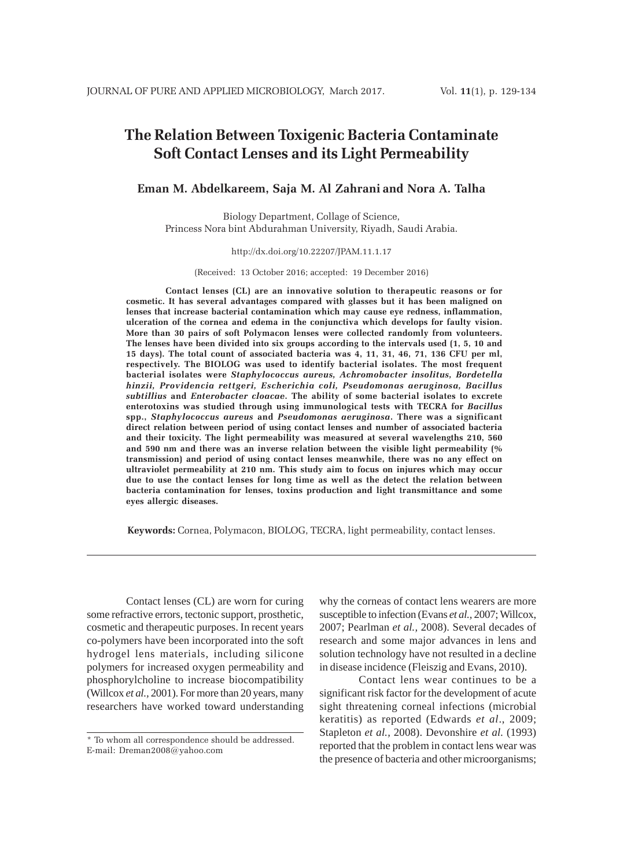# **The Relation Between Toxigenic Bacteria Contaminate Soft Contact Lenses and its Light Permeability**

# **Eman M. Abdelkareem, Saja M. Al Zahrani and Nora A. Talha**

Biology Department, Collage of Science, Princess Nora bint Abdurahman University, Riyadh, Saudi Arabia.

### http://dx.doi.org/10.22207/JPAM.11.1.17

(Received: 13 October 2016; accepted: 19 December 2016)

**Contact lenses (CL) are an innovative solution to therapeutic reasons or for cosmetic. It has several advantages compared with glasses but it has been maligned on lenses that increase bacterial contamination which may cause eye redness, inflammation, ulceration of the cornea and edema in the conjunctiva which develops for faulty vision. More than 30 pairs of soft Polymacon lenses were collected randomly from volunteers. The lenses have been divided into six groups according to the intervals used (1, 5, 10 and 15 days). The total count of associated bacteria was 4, 11, 31, 46, 71, 136 CFU per ml, respectively. The BIOLOG was used to identify bacterial isolates. The most frequent bacterial isolates were** *Staphylococcus aureus, Achromobacter insolitus, Bordetella hinzii, Providencia rettgeri, Escherichia coli, Pseudomonas aeruginosa, Bacillus subtillius* **and** *Enterobacter cloacae***. The ability of some bacterial isolates to excrete enterotoxins was studied through using immunological tests with TECRA for** *Bacillus* **spp.,** *Staphylococcus aureus* **and** *Pseudomonas aeruginosa***. There was a significant direct relation between period of using contact lenses and number of associated bacteria and their toxicity. The light permeability was measured at several wavelengths 210, 560 and 590 nm and there was an inverse relation between the visible light permeability (% transmission) and period of using contact lenses meanwhile, there was no any effect on ultraviolet permeability at 210 nm. This study aim to focus on injures which may occur due to use the contact lenses for long time as well as the detect the relation between bacteria contamination for lenses, toxins production and light transmittance and some eyes allergic diseases.**

**Keywords:** Cornea, Polymacon, BIOLOG, TECRA, light permeability, contact lenses.

Contact lenses (CL) are worn for curing some refractive errors, tectonic support, prosthetic, cosmetic and therapeutic purposes. In recent years co-polymers have been incorporated into the soft hydrogel lens materials, including silicone polymers for increased oxygen permeability and phosphorylcholine to increase biocompatibility (Willcox *et al.,* 2001). For more than 20 years, many researchers have worked toward understanding

why the corneas of contact lens wearers are more susceptible to infection (Evans *et al.,* 2007; Willcox, 2007; Pearlman *et al.,* 2008). Several decades of research and some major advances in lens and solution technology have not resulted in a decline in disease incidence (Fleiszig and Evans, 2010).

Contact lens wear continues to be a significant risk factor for the development of acute sight threatening corneal infections (microbial keratitis) as reported (Edwards *et al*., 2009; Stapleton *et al.,* 2008). Devonshire *et al.* (1993) reported that the problem in contact lens wear was the presence of bacteria and other microorganisms;

<sup>\*</sup> To whom all correspondence should be addressed. E-mail: Dreman2008@yahoo.com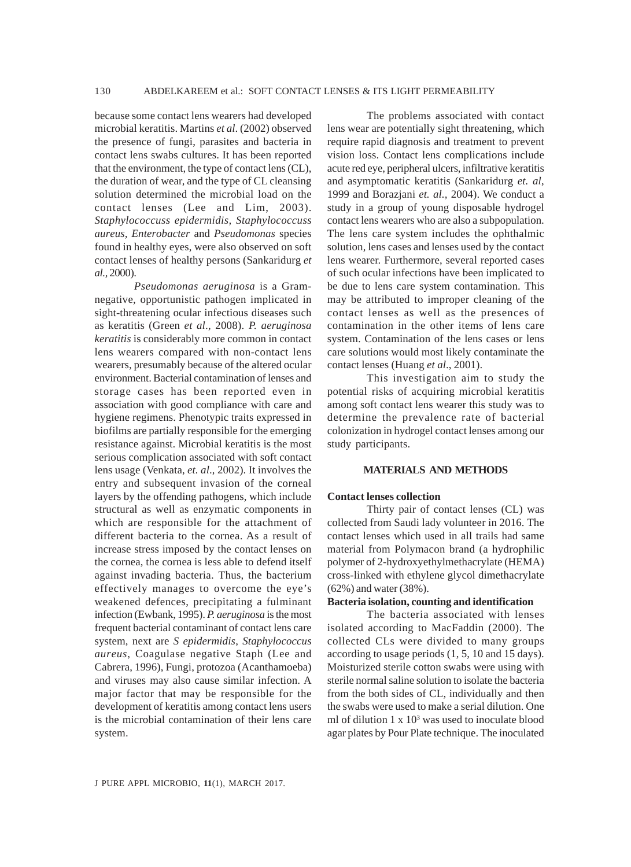because some contact lens wearers had developed microbial keratitis. Martins *et al*. (2002) observed the presence of fungi, parasites and bacteria in contact lens swabs cultures. It has been reported that the environment, the type of contact lens (CL), the duration of wear, and the type of CL cleansing solution determined the microbial load on the contact lenses (Lee and Lim, 2003). *Staphylococcuss epidermidis, Staphylococcuss aureus, Enterobacter* and *Pseudomonas* species found in healthy eyes, were also observed on soft contact lenses of healthy persons (Sankaridurg *et al.,* 2000).

*Pseudomonas aeruginosa* is a Gramnegative, opportunistic pathogen implicated in sight-threatening ocular infectious diseases such as keratitis (Green *et al*., 2008). *P. aeruginosa keratitis* is considerably more common in contact lens wearers compared with non-contact lens wearers, presumably because of the altered ocular environment. Bacterial contamination of lenses and storage cases has been reported even in association with good compliance with care and hygiene regimens. Phenotypic traits expressed in biofilms are partially responsible for the emerging resistance against. Microbial keratitis is the most serious complication associated with soft contact lens usage (Venkata, *et. al*., 2002). It involves the entry and subsequent invasion of the corneal layers by the offending pathogens, which include structural as well as enzymatic components in which are responsible for the attachment of different bacteria to the cornea. As a result of increase stress imposed by the contact lenses on the cornea, the cornea is less able to defend itself against invading bacteria. Thus, the bacterium effectively manages to overcome the eye's weakened defences, precipitating a fulminant infection (Ewbank, 1995). *P. aeruginosa* is the most frequent bacterial contaminant of contact lens care system, next are *S epidermidis*, *Staphylococcus aureus*, Coagulase negative Staph (Lee and Cabrera, 1996), Fungi, protozoa (Acanthamoeba) and viruses may also cause similar infection. A major factor that may be responsible for the development of keratitis among contact lens users is the microbial contamination of their lens care system.

The problems associated with contact lens wear are potentially sight threatening, which require rapid diagnosis and treatment to prevent vision loss. Contact lens complications include acute red eye, peripheral ulcers, infiltrative keratitis and asymptomatic keratitis (Sankaridurg *et. al*, 1999 and Borazjani *et. al.,* 2004). We conduct a study in a group of young disposable hydrogel contact lens wearers who are also a subpopulation. The lens care system includes the ophthalmic solution, lens cases and lenses used by the contact lens wearer. Furthermore, several reported cases of such ocular infections have been implicated to be due to lens care system contamination. This may be attributed to improper cleaning of the contact lenses as well as the presences of contamination in the other items of lens care system. Contamination of the lens cases or lens care solutions would most likely contaminate the contact lenses (Huang *et al*., 2001).

This investigation aim to study the potential risks of acquiring microbial keratitis among soft contact lens wearer this study was to determine the prevalence rate of bacterial colonization in hydrogel contact lenses among our study participants.

# **MATERIALS AND METHODS**

#### **Contact lenses collection**

Thirty pair of contact lenses (CL) was collected from Saudi lady volunteer in 2016. The contact lenses which used in all trails had same material from Polymacon brand (a hydrophilic polymer of 2-hydroxyethylmethacrylate (HEMA) cross-linked with ethylene glycol dimethacrylate (62%) and water (38%).

# **Bacteria isolation, counting and identification**

The bacteria associated with lenses isolated according to MacFaddin (2000). The collected CLs were divided to many groups according to usage periods (1, 5, 10 and 15 days). Moisturized sterile cotton swabs were using with sterile normal saline solution to isolate the bacteria from the both sides of CL, individually and then the swabs were used to make a serial dilution. One ml of dilution  $1 \times 10^3$  was used to inoculate blood agar plates by Pour Plate technique. The inoculated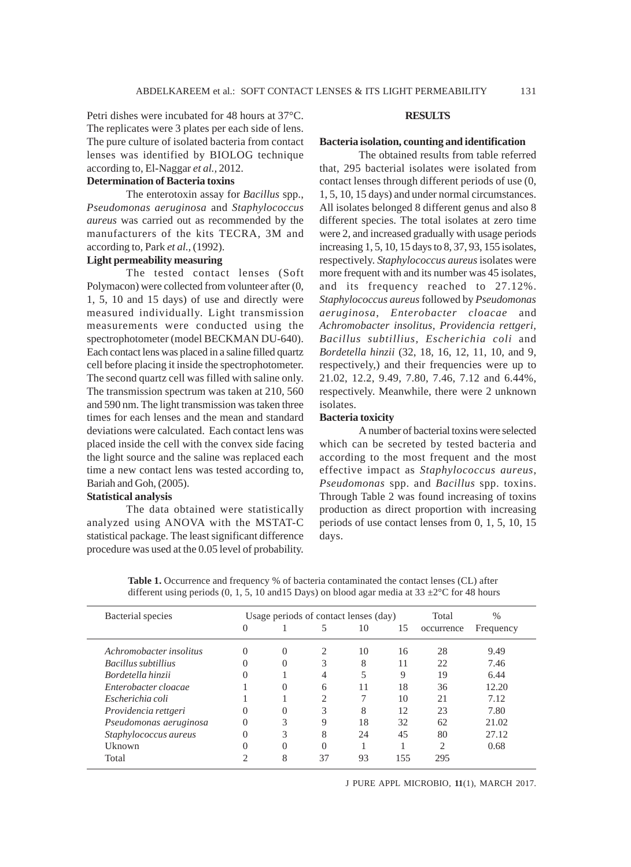Petri dishes were incubated for 48 hours at 37°C. The replicates were 3 plates per each side of lens. The pure culture of isolated bacteria from contact lenses was identified by BIOLOG technique according to, El-Naggar *et al.,* 2012.

# **Determination of Bacteria toxins**

The enterotoxin assay for *Bacillus* spp., *Pseudomonas aeruginosa* and *Staphylococcus aureus* was carried out as recommended by the manufacturers of the kits TECRA, 3M and according to, Park *et al.,* (1992).

# **Light permeability measuring**

The tested contact lenses (Soft Polymacon) were collected from volunteer after (0, 1, 5, 10 and 15 days) of use and directly were measured individually. Light transmission measurements were conducted using the spectrophotometer (model BECKMAN DU-640). Each contact lens was placed in a saline filled quartz cell before placing it inside the spectrophotometer. The second quartz cell was filled with saline only. The transmission spectrum was taken at 210, 560 and 590 nm. The light transmission was taken three times for each lenses and the mean and standard deviations were calculated. Each contact lens was placed inside the cell with the convex side facing the light source and the saline was replaced each time a new contact lens was tested according to, Bariah and Goh, (2005).

### **Statistical analysis**

The data obtained were statistically analyzed using ANOVA with the MSTAT-C statistical package. The least significant difference procedure was used at the 0.05 level of probability.

### **RESULTS**

#### **Bacteria isolation, counting and identification**

The obtained results from table referred that, 295 bacterial isolates were isolated from contact lenses through different periods of use (0, 1, 5, 10, 15 days) and under normal circumstances. All isolates belonged 8 different genus and also 8 different species. The total isolates at zero time were 2, and increased gradually with usage periods increasing 1, 5, 10, 15 days to 8, 37, 93, 155 isolates, respectively. *Staphylococcus aureus* isolates were more frequent with and its number was 45 isolates, and its frequency reached to 27.12%. *Staphylococcus aureus* followed by *Pseudomonas aeruginosa*, *Enterobacter cloacae* and *Achromobacter insolitus, Providencia rettgeri, Bacillus subtillius, Escherichia coli* and *Bordetella hinzii* (32, 18, 16, 12, 11, 10, and 9, respectively,) and their frequencies were up to 21.02, 12.2, 9.49, 7.80, 7.46, 7.12 and 6.44%, respectively. Meanwhile, there were 2 unknown isolates.

# **Bacteria toxicity**

A number of bacterial toxins were selected which can be secreted by tested bacteria and according to the most frequent and the most effective impact as *Staphylococcus aureus*, *Pseudomonas* spp. and *Bacillus* spp. toxins. Through Table 2 was found increasing of toxins production as direct proportion with increasing periods of use contact lenses from 0, 1, 5, 10, 15 days.

Table 1. Occurrence and frequency % of bacteria contaminated the contact lenses (CL) after different using periods (0, 1, 5, 10 and 15 Days) on blood agar media at 33  $\pm$ 2°C for 48 hours

| Bacterial species       | Usage periods of contact lenses (day) |                  |    |    |             | Total      | $\frac{0}{0}$ |
|-------------------------|---------------------------------------|------------------|----|----|-------------|------------|---------------|
|                         | $\Omega$                              |                  | 5  | 10 | 15          | occurrence | Frequency     |
| Achromobacter insolitus | $\theta$                              | $\Omega$         | 2  | 10 | 16          | 28         | 9.49          |
| Bacillus subtillius     | $\Omega$                              | $\left( \right)$ | 3  | 8  |             | 22         | 7.46          |
| Bordetella hinzii       | $\theta$                              |                  | 4  |    | $\mathbf Q$ | 19         | 6.44          |
| Enterobacter cloacae    |                                       | $\mathbf{0}$     | 6  | 11 | 18          | 36         | 12.20         |
| Escherichia coli        |                                       |                  | ◠  |    | 10          | 21         | 7.12          |
| Providencia rettgeri    | $\Omega$                              | 0                | 3  | 8  | 12          | 23         | 7.80          |
| Pseudomonas aeruginosa  | $\theta$                              | 3                | 9  | 18 | 32          | 62         | 21.02         |
| Staphylococcus aureus   | $\Omega$                              | 3                | 8  | 24 | 45          | 80         | 27.12         |
| Uknown                  | $\Omega$                              |                  | 0  |    |             | C          | 0.68          |
| Total                   | ◠                                     | 8                | 37 | 93 | 155         | 295        |               |

J PURE APPL MICROBIO*,* **11**(1), MARCH 2017.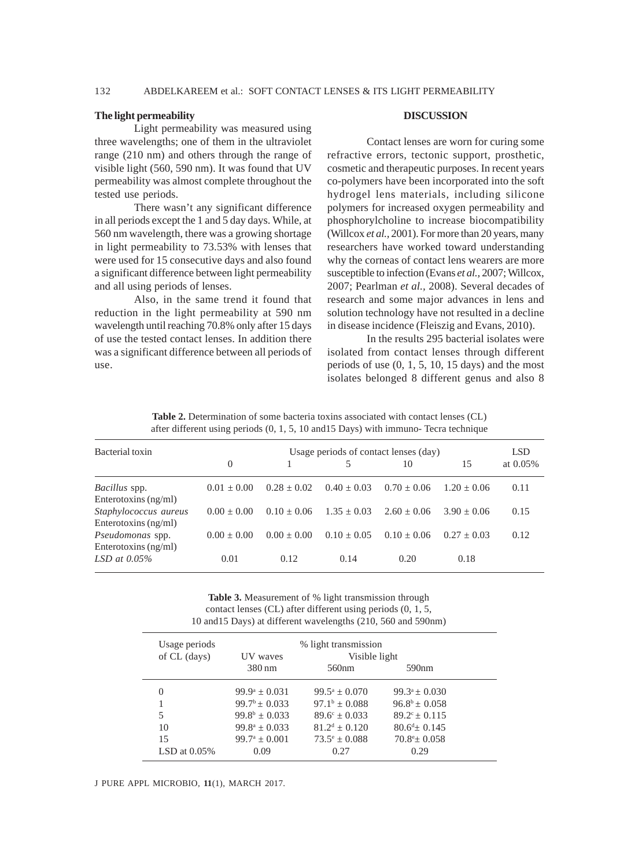### **The light permeability**

Enterotoxins (ng/ml)

Light permeability was measured using three wavelengths; one of them in the ultraviolet range (210 nm) and others through the range of visible light (560, 590 nm). It was found that UV permeability was almost complete throughout the tested use periods.

There wasn't any significant difference in all periods except the 1 and 5 day days. While, at 560 nm wavelength, there was a growing shortage in light permeability to 73.53% with lenses that were used for 15 consecutive days and also found a significant difference between light permeability and all using periods of lenses.

Also, in the same trend it found that reduction in the light permeability at 590 nm wavelength until reaching 70.8% only after 15 days of use the tested contact lenses. In addition there was a significant difference between all periods of use.

### **DISCUSSION**

Contact lenses are worn for curing some refractive errors, tectonic support, prosthetic, cosmetic and therapeutic purposes. In recent years co-polymers have been incorporated into the soft hydrogel lens materials, including silicone polymers for increased oxygen permeability and phosphorylcholine to increase biocompatibility (Willcox *et al.,* 2001). For more than 20 years, many researchers have worked toward understanding why the corneas of contact lens wearers are more susceptible to infection (Evans *et al.,* 2007; Willcox, 2007; Pearlman *et al.,* 2008). Several decades of research and some major advances in lens and solution technology have not resulted in a decline in disease incidence (Fleiszig and Evans, 2010).

In the results 295 bacterial isolates were isolated from contact lenses through different periods of use (0, 1, 5, 10, 15 days) and the most isolates belonged 8 different genus and also 8

| after different using periods $(0, 1, 5, 10, 115)$ Days) with immuno- Tecra technique |                                       |                 |               |               |               |          |  |
|---------------------------------------------------------------------------------------|---------------------------------------|-----------------|---------------|---------------|---------------|----------|--|
| Bacterial toxin                                                                       | Usage periods of contact lenses (day) |                 |               |               |               |          |  |
|                                                                                       | $\theta$                              |                 |               | 10            | 15            | at 0.05% |  |
| <i>Bacillus</i> spp.                                                                  | $0.01 + 0.00$                         | $0.28 \pm 0.02$ | $0.40 + 0.03$ | $0.70 + 0.06$ | $1.20 + 0.06$ | 0.11     |  |
| Enterotoxins $(ng/ml)$                                                                |                                       |                 |               |               |               |          |  |
| Staphylococcus aureus                                                                 | $0.00 + 0.00$                         | $0.10 + 0.06$   | $1.35 + 0.03$ | $2.60 + 0.06$ | $3.90 + 0.06$ | 0.15     |  |
| Enterotoxins $(ng/ml)$                                                                |                                       |                 |               |               |               |          |  |
| Pseudomonas spp.                                                                      | $0.00 + 0.00$                         | $0.00 + 0.00$   | $0.10 + 0.05$ | $0.10 + 0.06$ | $0.27 + 0.03$ | 0.12     |  |

Table 2. Determination of some bacteria toxins associated with contact lenses (CL)

**Table 3.** Measurement of % light transmission through contact lenses (CL) after different using periods (0, 1, 5, 10 and15 Days) at different wavelengths (210, 560 and 590nm)

*LSD at 0.05%* 0.01 0.12 0.14 0.20 0.18

| Usage periods<br>of CL (days) | % light transmission<br>Visible light<br>UV waves |                          |                        |  |  |
|-------------------------------|---------------------------------------------------|--------------------------|------------------------|--|--|
|                               | $380 \text{ nm}$                                  | 560 <sub>nm</sub>        | 590nm                  |  |  |
| 0                             | $99.9^{\circ} \pm 0.031$                          | $99.5^a + 0.070$         | $99.3^a \pm 0.030$     |  |  |
|                               | $99.7^b + 0.033$                                  | $97.1^b + 0.088$         | $96.8^b + 0.058$       |  |  |
| 5                             | $99.8^b \pm 0.033$                                | $89.6^{\circ} \pm 0.033$ | $89.2^{\circ} + 0.115$ |  |  |
| 10                            | $99.8^a \pm 0.033$                                | $81.2^d + 0.120$         | $80.6^{d} + 0.145$     |  |  |
| 15                            | $99.7^{\mathrm{a}} \pm 0.001$                     | $73.5^{\circ} + 0.088$   | $70.8^{\circ}$ ± 0.058 |  |  |
| LSD at $0.05\%$               | 0.09                                              | 0.27                     | 0.29                   |  |  |

#### J PURE APPL MICROBIO*,* **11**(1), MARCH 2017.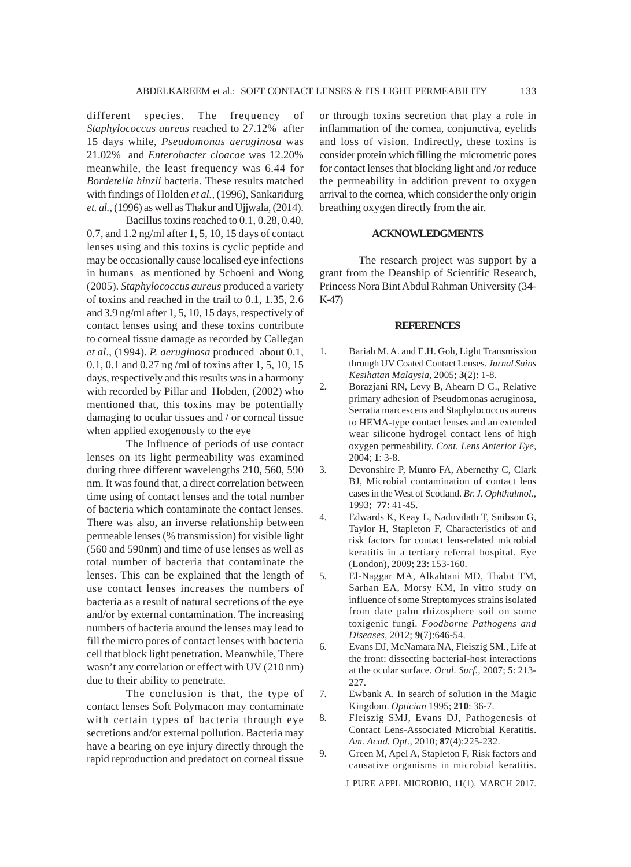different species. The frequency of *Staphylococcus aureus* reached to 27.12% after 15 days while, *Pseudomonas aeruginosa* was 21.02% and *Enterobacter cloacae* was 12.20% meanwhile, the least frequency was 6.44 for *Bordetella hinzii* bacteria. These results matched with findings of Holden *et al.,* (1996), Sankaridurg *et. al.,* (1996) as well as Thakur and Ujjwala, (2014).

Bacillus toxins reached to 0.1, 0.28, 0.40, 0.7, and 1.2 ng/ml after 1, 5, 10, 15 days of contact lenses using and this toxins is cyclic peptide and may be occasionally cause localised eye infections in humans as mentioned by Schoeni and Wong (2005). *Staphylococcus aureus* produced a variety of toxins and reached in the trail to 0.1, 1.35, 2.6 and 3.9 ng/ml after 1, 5, 10, 15 days, respectively of contact lenses using and these toxins contribute to corneal tissue damage as recorded by Callegan *et al*., (1994). *P. aeruginosa* produced about 0.1, 0.1, 0.1 and 0.27 ng /ml of toxins after 1, 5, 10, 15 days, respectively and this results was in a harmony with recorded by Pillar and Hobden, (2002) who mentioned that, this toxins may be potentially damaging to ocular tissues and / or corneal tissue when applied exogenously to the eye

The Influence of periods of use contact lenses on its light permeability was examined during three different wavelengths 210, 560, 590 nm. It was found that, a direct correlation between time using of contact lenses and the total number of bacteria which contaminate the contact lenses. There was also, an inverse relationship between permeable lenses (% transmission) for visible light (560 and 590nm) and time of use lenses as well as total number of bacteria that contaminate the lenses. This can be explained that the length of use contact lenses increases the numbers of bacteria as a result of natural secretions of the eye and/or by external contamination. The increasing numbers of bacteria around the lenses may lead to fill the micro pores of contact lenses with bacteria cell that block light penetration. Meanwhile, There wasn't any correlation or effect with UV (210 nm) due to their ability to penetrate.

The conclusion is that, the type of contact lenses Soft Polymacon may contaminate with certain types of bacteria through eye secretions and/or external pollution. Bacteria may have a bearing on eye injury directly through the rapid reproduction and predatoct on corneal tissue

or through toxins secretion that play a role in inflammation of the cornea, conjunctiva, eyelids and loss of vision. Indirectly, these toxins is consider protein which filling the micrometric pores for contact lenses that blocking light and /or reduce the permeability in addition prevent to oxygen arrival to the cornea, which consider the only origin breathing oxygen directly from the air.

## **ACKNOWLEDGMENTS**

The research project was support by a grant from the Deanship of Scientific Research, Princess Nora Bint Abdul Rahman University (34- K-47)

#### **REFERENCES**

- 1. Bariah M. A. and E.H. Goh, Light Transmission through UV Coated Contact Lenses. *Jurnal Sains Kesihatan Malaysia,* 2005; **3**(2): 1-8.
- 2. Borazjani RN, Levy B, Ahearn D G., Relative primary adhesion of Pseudomonas aeruginosa, Serratia marcescens and Staphylococcus aureus to HEMA-type contact lenses and an extended wear silicone hydrogel contact lens of high oxygen permeability. *Cont. Lens Anterior Eye,* 2004; **1**: 3-8.
- 3. Devonshire P, Munro FA, Abernethy C, Clark BJ, Microbial contamination of contact lens cases in the West of Scotland. *Br. J. Ophthalmol.,* 1993; **77**: 41-45.
- 4. Edwards K, Keay L, Naduvilath T, Snibson G, Taylor H, Stapleton F, Characteristics of and risk factors for contact lens-related microbial keratitis in a tertiary referral hospital. Eye (London), 2009; **23**: 153-160.
- 5. El-Naggar MA, Alkahtani MD, Thabit TM, Sarhan EA, Morsy KM, In vitro study on influence of some Streptomyces strains isolated from date palm rhizosphere soil on some toxigenic fungi. *Foodborne Pathogens and Diseases,* 2012; **9**(7):646-54.
- 6. Evans DJ, McNamara NA, Fleiszig SM., Life at the front: dissecting bacterial-host interactions at the ocular surface. *Ocul. Surf.,* 2007; **5**: 213- 227.
- 7. Ewbank A. In search of solution in the Magic Kingdom. *Optician* 1995; **210**: 36-7.
- 8. Fleiszig SMJ, Evans DJ, Pathogenesis of Contact Lens-Associated Microbial Keratitis. *Am. Acad. Opt.,* 2010; **87**(4):225-232.
- 9. Green M, Apel A, Stapleton F, Risk factors and causative organisms in microbial keratitis.

J PURE APPL MICROBIO*,* **11**(1), MARCH 2017.